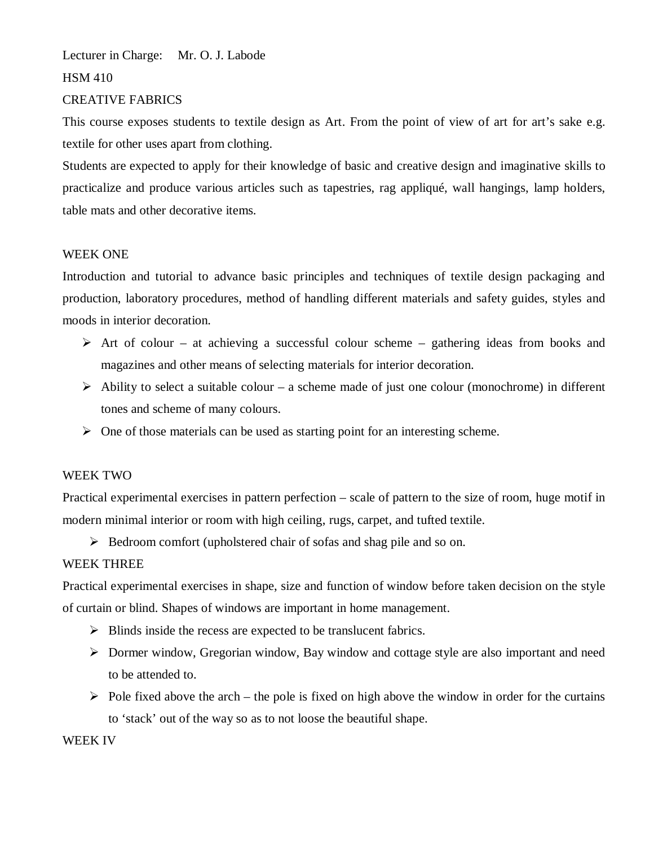Lecturer in Charge: Mr. O. J. Labode HSM 410

### CREATIVE FABRICS

This course exposes students to textile design as Art. From the point of view of art for art's sake e.g. textile for other uses apart from clothing.

Students are expected to apply for their knowledge of basic and creative design and imaginative skills to practicalize and produce various articles such as tapestries, rag appliqué, wall hangings, lamp holders, table mats and other decorative items.

#### WEEK ONE

Introduction and tutorial to advance basic principles and techniques of textile design packaging and production, laboratory procedures, method of handling different materials and safety guides, styles and moods in interior decoration.

- $\triangleright$  Art of colour at achieving a successful colour scheme gathering ideas from books and magazines and other means of selecting materials for interior decoration.
- $\triangleright$  Ability to select a suitable colour a scheme made of just one colour (monochrome) in different tones and scheme of many colours.
- $\triangleright$  One of those materials can be used as starting point for an interesting scheme.

## WEEK TWO

Practical experimental exercises in pattern perfection – scale of pattern to the size of room, huge motif in modern minimal interior or room with high ceiling, rugs, carpet, and tufted textile.

Bedroom comfort (upholstered chair of sofas and shag pile and so on.

## WEEK THREE

Practical experimental exercises in shape, size and function of window before taken decision on the style of curtain or blind. Shapes of windows are important in home management.

- $\triangleright$  Blinds inside the recess are expected to be translucent fabrics.
- Dormer window, Gregorian window, Bay window and cottage style are also important and need to be attended to.
- $\triangleright$  Pole fixed above the arch the pole is fixed on high above the window in order for the curtains to 'stack' out of the way so as to not loose the beautiful shape.

#### WEEK IV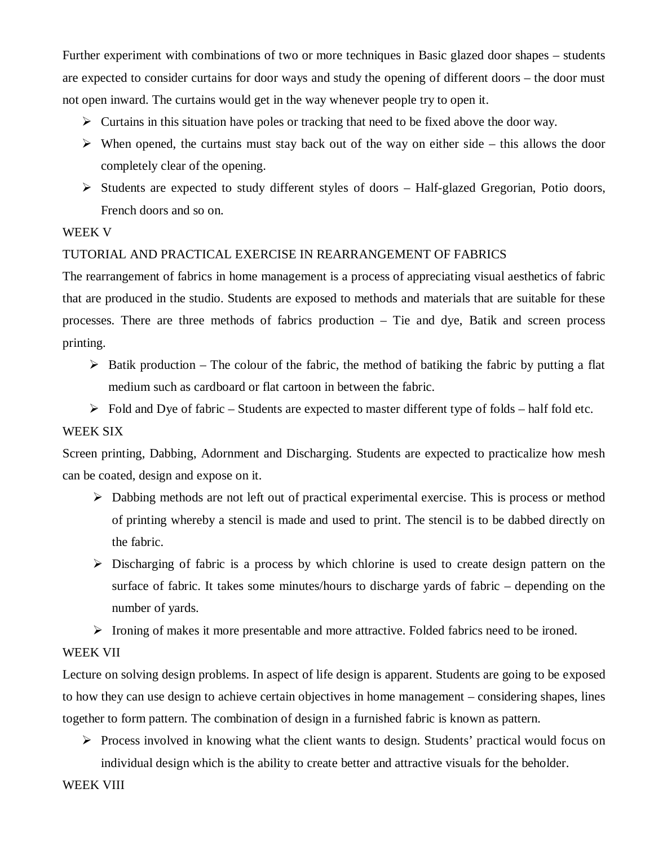Further experiment with combinations of two or more techniques in Basic glazed door shapes – students are expected to consider curtains for door ways and study the opening of different doors – the door must not open inward. The curtains would get in the way whenever people try to open it.

- $\triangleright$  Curtains in this situation have poles or tracking that need to be fixed above the door way.
- $\triangleright$  When opened, the curtains must stay back out of the way on either side this allows the door completely clear of the opening.
- $\triangleright$  Students are expected to study different styles of doors Half-glazed Gregorian, Potio doors, French doors and so on.

# WEEK V

# TUTORIAL AND PRACTICAL EXERCISE IN REARRANGEMENT OF FABRICS

The rearrangement of fabrics in home management is a process of appreciating visual aesthetics of fabric that are produced in the studio. Students are exposed to methods and materials that are suitable for these processes. There are three methods of fabrics production – Tie and dye, Batik and screen process printing.

- $\triangleright$  Batik production The colour of the fabric, the method of batiking the fabric by putting a flat medium such as cardboard or flat cartoon in between the fabric.
- $\triangleright$  Fold and Dye of fabric Students are expected to master different type of folds half fold etc.

# WEEK SIX

Screen printing, Dabbing, Adornment and Discharging. Students are expected to practicalize how mesh can be coated, design and expose on it.

- $\triangleright$  Dabbing methods are not left out of practical experimental exercise. This is process or method of printing whereby a stencil is made and used to print. The stencil is to be dabbed directly on the fabric.
- $\triangleright$  Discharging of fabric is a process by which chlorine is used to create design pattern on the surface of fabric. It takes some minutes/hours to discharge yards of fabric – depending on the number of yards.
- $\triangleright$  Ironing of makes it more presentable and more attractive. Folded fabrics need to be ironed.

## WEEK VII

Lecture on solving design problems. In aspect of life design is apparent. Students are going to be exposed to how they can use design to achieve certain objectives in home management – considering shapes, lines together to form pattern. The combination of design in a furnished fabric is known as pattern.

 $\triangleright$  Process involved in knowing what the client wants to design. Students' practical would focus on individual design which is the ability to create better and attractive visuals for the beholder.

WEEK VIII